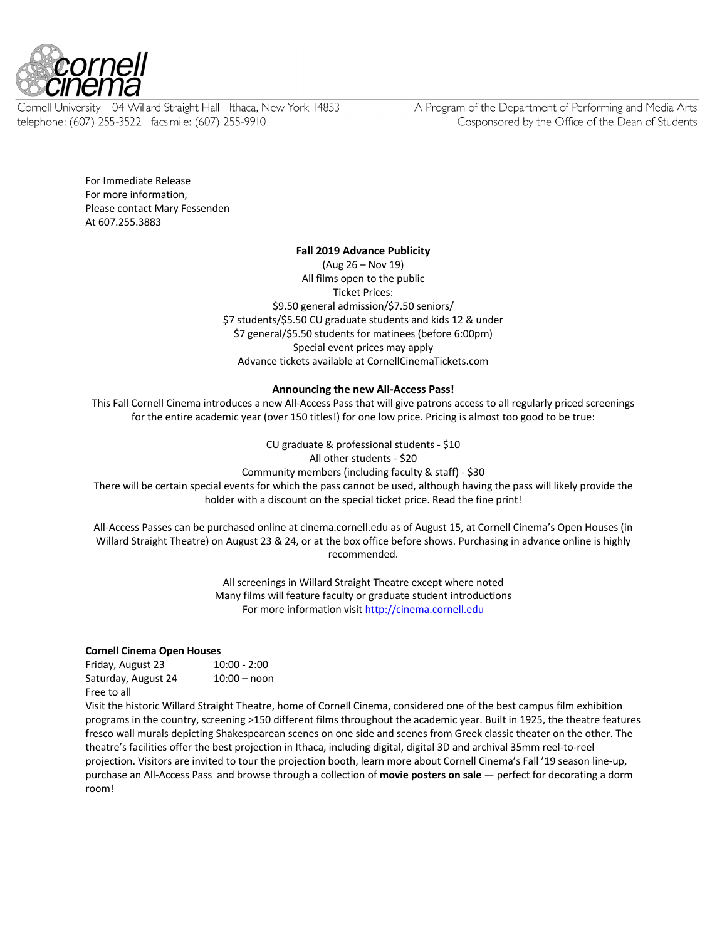

Cornell University 104 Willard Straight Hall Ithaca, New York 14853 telephone: (607) 255-3522 facsimile: (607) 255-9910

A Program of the Department of Performing and Media Arts Cosponsored by the Office of the Dean of Students

For Immediate Release For more information, Please contact Mary Fessenden At 607.255.3883

#### **Fall 2019 Advance Publicity**

(Aug 26 – Nov 19) All films open to the public Ticket Prices: \$9.50 general admission/\$7.50 seniors/ \$7 students/\$5.50 CU graduate students and kids 12 & under \$7 general/\$5.50 students for matinees (before 6:00pm) Special event prices may apply Advance tickets available at CornellCinemaTickets.com

# **Announcing the new All-Access Pass!**

This Fall Cornell Cinema introduces a new All-Access Pass that will give patrons access to all regularly priced screenings for the entire academic year (over 150 titles!) for one low price. Pricing is almost too good to be true:

CU graduate & professional students - \$10

All other students - \$20 Community members (including faculty & staff) - \$30

There will be certain special events for which the pass cannot be used, although having the pass will likely provide the holder with a discount on the special ticket price. Read the fine print!

All-Access Passes can be purchased online at cinema.cornell.edu as of August 15, at Cornell Cinema's Open Houses (in Willard Straight Theatre) on August 23 & 24, or at the box office before shows. Purchasing in advance online is highly recommended.

> All screenings in Willard Straight Theatre except where noted Many films will feature faculty or graduate student introductions For more information visit http://cinema.cornell.edu

#### **Cornell Cinema Open Houses**

| Friday, August 23   | $10:00 - 2:00$ |
|---------------------|----------------|
| Saturday, August 24 | $10:00 -$ noon |
| Free to all         |                |

Visit the historic Willard Straight Theatre, home of Cornell Cinema, considered one of the best campus film exhibition programs in the country, screening >150 different films throughout the academic year. Built in 1925, the theatre features fresco wall murals depicting Shakespearean scenes on one side and scenes from Greek classic theater on the other. The theatre's facilities offer the best projection in Ithaca, including digital, digital 3D and archival 35mm reel-to-reel projection. Visitors are invited to tour the projection booth, learn more about Cornell Cinema's Fall '19 season line-up, purchase an All-Access Pass and browse through a collection of **movie posters on sale** — perfect for decorating a dorm room!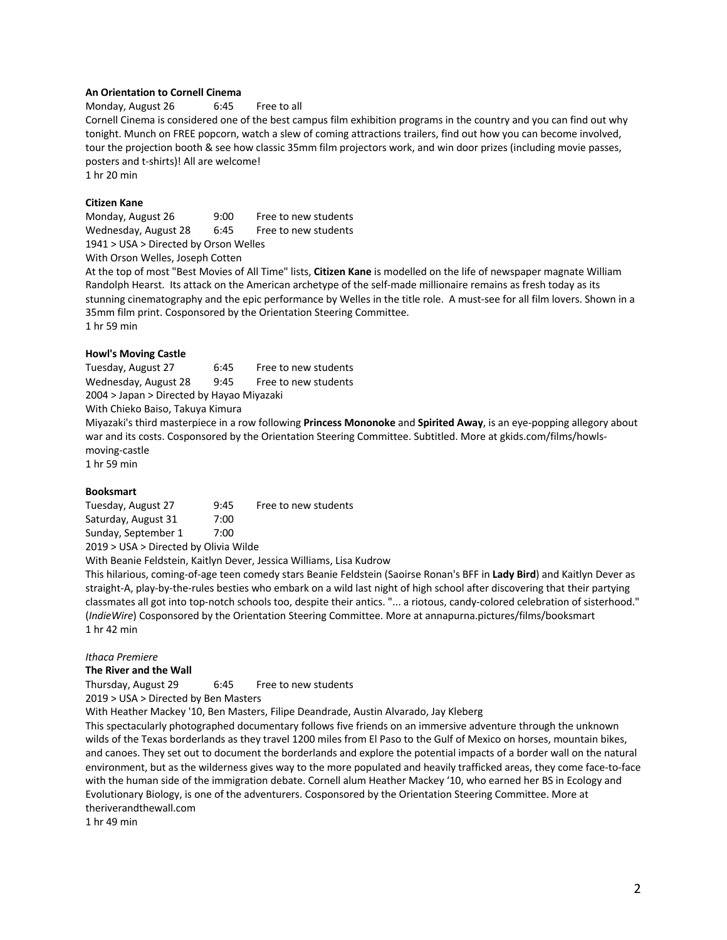## **An Orientation to Cornell Cinema**

Monday, August 26 6:45 Free to all

Cornell Cinema is considered one of the best campus film exhibition programs in the country and you can find out why tonight. Munch on FREE popcorn, watch a slew of coming attractions trailers, find out how you can become involved, tour the projection booth & see how classic 35mm film projectors work, and win door prizes (including movie passes, posters and t-shirts)! All are welcome!

1 hr 20 min

## **Citizen Kane**

Monday, August 26 9:00 Free to new students Wednesday, August 28 6:45 Free to new students 1941 > USA > Directed by Orson Welles

With Orson Welles, Joseph Cotten

At the top of most "Best Movies of All Time" lists, **Citizen Kane** is modelled on the life of newspaper magnate William Randolph Hearst. Its attack on the American archetype of the self-made millionaire remains as fresh today as its stunning cinematography and the epic performance by Welles in the title role. A must-see for all film lovers. Shown in a 35mm film print. Cosponsored by the Orientation Steering Committee. 1 hr 59 min

**Howl's Moving Castle**

Tuesday, August 27 6:45 Free to new students Wednesday, August 28 9:45 Free to new students 2004 > Japan > Directed by Hayao Miyazaki

With Chieko Baiso, Takuya Kimura

Miyazaki's third masterpiece in a row following **Princess Mononoke** and **Spirited Away**, is an eye-popping allegory about war and its costs. Cosponsored by the Orientation Steering Committee. Subtitled. More at gkids.com/films/howlsmoving-castle

1 hr 59 min

#### **Booksmart**

Tuesday, August 27 9:45 Free to new students Saturday, August 31 7:00 Sunday, September 1 7:00 2019 > USA > Directed by Olivia Wilde

With Beanie Feldstein, Kaitlyn Dever, Jessica Williams, Lisa Kudrow

This hilarious, coming-of-age teen comedy stars Beanie Feldstein (Saoirse Ronan's BFF in **Lady Bird**) and Kaitlyn Dever as straight-A, play-by-the-rules besties who embark on a wild last night of high school after discovering that their partying classmates all got into top-notch schools too, despite their antics. "... a riotous, candy-colored celebration of sisterhood." (*IndieWire*) Cosponsored by the Orientation Steering Committee. More at annapurna.pictures/films/booksmart 1 hr 42 min

#### *Ithaca Premiere*

#### **The River and the Wall**

Thursday, August 29 6:45 Free to new students

2019 > USA > Directed by Ben Masters

With Heather Mackey '10, Ben Masters, Filipe Deandrade, Austin Alvarado, Jay Kleberg

This spectacularly photographed documentary follows five friends on an immersive adventure through the unknown wilds of the Texas borderlands as they travel 1200 miles from El Paso to the Gulf of Mexico on horses, mountain bikes, and canoes. They set out to document the borderlands and explore the potential impacts of a border wall on the natural environment, but as the wilderness gives way to the more populated and heavily trafficked areas, they come face-to-face with the human side of the immigration debate. Cornell alum Heather Mackey '10, who earned her BS in Ecology and Evolutionary Biology, is one of the adventurers. Cosponsored by the Orientation Steering Committee. More at theriverandthewall.com

1 hr 49 min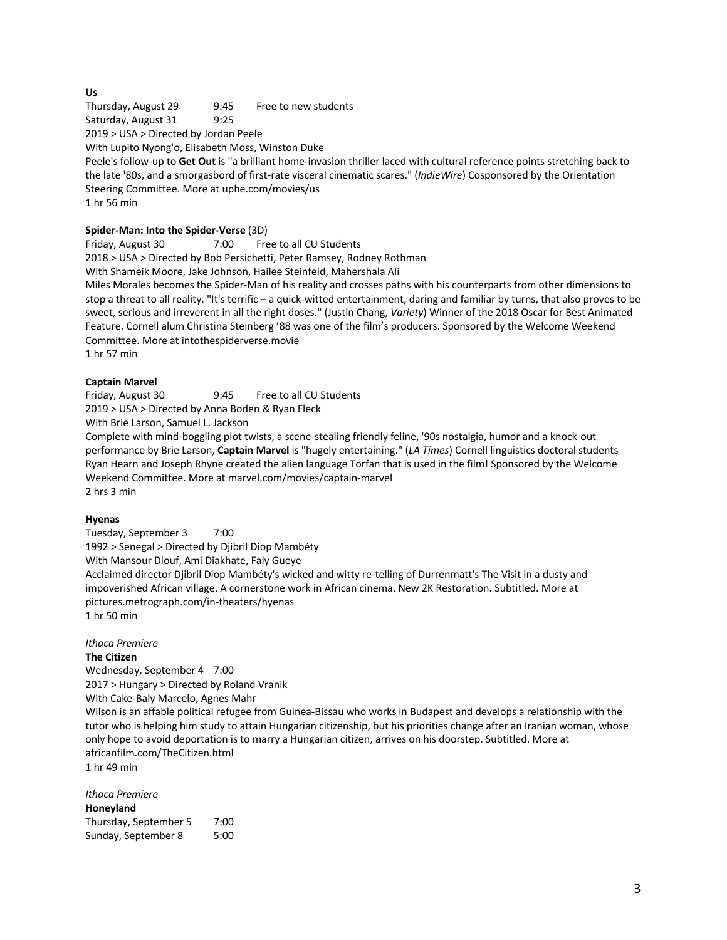# **Us**

Thursday, August 29 9:45 Free to new students Saturday, August 31 9:25

2019 > USA > Directed by Jordan Peele

With Lupito Nyong'o, Elisabeth Moss, Winston Duke

Peele's follow-up to **Get Out** is "a brilliant home-invasion thriller laced with cultural reference points stretching back to the late '80s, and a smorgasbord of first-rate visceral cinematic scares." (*IndieWire*) Cosponsored by the Orientation Steering Committee. More at uphe.com/movies/us

1 hr 56 min

## **Spider-Man: Into the Spider-Verse** (3D)

Friday, August 30 7:00 Free to all CU Students 2018 > USA > Directed by Bob Persichetti, Peter Ramsey, Rodney Rothman

With Shameik Moore, Jake Johnson, Hailee Steinfeld, Mahershala Ali

Miles Morales becomes the Spider-Man of his reality and crosses paths with his counterparts from other dimensions to stop a threat to all reality. "It's terrific – a quick-witted entertainment, daring and familiar by turns, that also proves to be sweet, serious and irreverent in all the right doses." (Justin Chang, *Variety*) Winner of the 2018 Oscar for Best Animated Feature. Cornell alum Christina Steinberg '88 was one of the film's producers. Sponsored by the Welcome Weekend Committee. More at intothespiderverse.movie 1 hr 57 min

# **Captain Marvel**

Friday, August 30 9:45 Free to all CU Students 2019 > USA > Directed by Anna Boden & Ryan Fleck With Brie Larson, Samuel L. Jackson

Complete with mind-boggling plot twists, a scene-stealing friendly feline, '90s nostalgia, humor and a knock-out performance by Brie Larson, **Captain Marvel** is "hugely entertaining." (*LA Times*) Cornell linguistics doctoral students Ryan Hearn and Joseph Rhyne created the alien language Torfan that is used in the film! Sponsored by the Welcome Weekend Committee. More at marvel.com/movies/captain-marvel 2 hrs 3 min

#### **Hyenas**

Tuesday, September 3 7:00 1992 > Senegal > Directed by Djibril Diop Mambéty With Mansour Diouf, Ami Diakhate, Faly Gueye Acclaimed director Djibril Diop Mambéty's wicked and witty re-telling of Durrenmatt's The Visit in a dusty and impoverished African village. A cornerstone work in African cinema. New 2K Restoration. Subtitled. More at pictures.metrograph.com/in-theaters/hyenas 1 hr 50 min

# *Ithaca Premiere*

**The Citizen**

Wednesday, September 4 7:00 2017 > Hungary > Directed by Roland Vranik With Cake-Baly Marcelo, Agnes Mahr

Wilson is an affable political refugee from Guinea-Bissau who works in Budapest and develops a relationship with the tutor who is helping him study to attain Hungarian citizenship, but his priorities change after an Iranian woman, whose only hope to avoid deportation is to marry a Hungarian citizen, arrives on his doorstep. Subtitled. More at africanfilm.com/TheCitizen.html

1 hr 49 min

*Ithaca Premiere* **Honeyland** Thursday, September 5 7:00 Sunday, September 8 5:00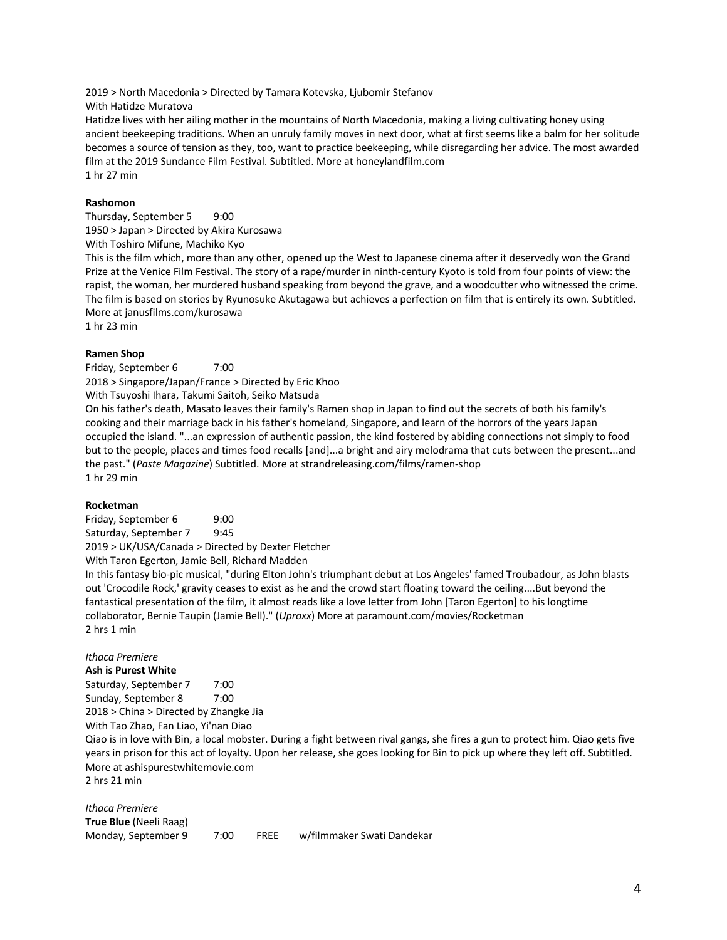2019 > North Macedonia > Directed by Tamara Kotevska, Ljubomir Stefanov

With Hatidze Muratova

Hatidze lives with her ailing mother in the mountains of North Macedonia, making a living cultivating honey using ancient beekeeping traditions. When an unruly family moves in next door, what at first seems like a balm for her solitude becomes a source of tension as they, too, want to practice beekeeping, while disregarding her advice. The most awarded film at the 2019 Sundance Film Festival. Subtitled. More at honeylandfilm.com 1 hr 27 min

# **Rashomon**

Thursday, September 5 9:00 1950 > Japan > Directed by Akira Kurosawa

With Toshiro Mifune, Machiko Kyo

This is the film which, more than any other, opened up the West to Japanese cinema after it deservedly won the Grand Prize at the Venice Film Festival. The story of a rape/murder in ninth-century Kyoto is told from four points of view: the rapist, the woman, her murdered husband speaking from beyond the grave, and a woodcutter who witnessed the crime. The film is based on stories by Ryunosuke Akutagawa but achieves a perfection on film that is entirely its own. Subtitled. More at janusfilms.com/kurosawa

1 hr 23 min

# **Ramen Shop**

Friday, September 6 7:00

2018 > Singapore/Japan/France > Directed by Eric Khoo

With Tsuyoshi Ihara, Takumi Saitoh, Seiko Matsuda

On his father's death, Masato leaves their family's Ramen shop in Japan to find out the secrets of both his family's cooking and their marriage back in his father's homeland, Singapore, and learn of the horrors of the years Japan occupied the island. "...an expression of authentic passion, the kind fostered by abiding connections not simply to food but to the people, places and times food recalls [and]...a bright and airy melodrama that cuts between the present...and the past." (*Paste Magazine*) Subtitled. More at strandreleasing.com/films/ramen-shop 1 hr 29 min

# **Rocketman**

Friday, September 6 9:00 Saturday, September 7 9:45 2019 > UK/USA/Canada > Directed by Dexter Fletcher

With Taron Egerton, Jamie Bell, Richard Madden

In this fantasy bio-pic musical, "during Elton John's triumphant debut at Los Angeles' famed Troubadour, as John blasts out 'Crocodile Rock,' gravity ceases to exist as he and the crowd start floating toward the ceiling....But beyond the fantastical presentation of the film, it almost reads like a love letter from John [Taron Egerton] to his longtime collaborator, Bernie Taupin (Jamie Bell)." (*Uproxx*) More at paramount.com/movies/Rocketman 2 hrs 1 min

# *Ithaca Premiere*

**Ash is Purest White**

Saturday, September 7 7:00 Sunday, September 8 7:00 2018 > China > Directed by Zhangke Jia

With Tao Zhao, Fan Liao, Yi'nan Diao

Qiao is in love with Bin, a local mobster. During a fight between rival gangs, she fires a gun to protect him. Qiao gets five years in prison for this act of loyalty. Upon her release, she goes looking for Bin to pick up where they left off. Subtitled. More at ashispurestwhitemovie.com

2 hrs 21 min

*Ithaca Premiere* **True Blue** (Neeli Raag) Monday, September 9 7:00 FREE w/filmmaker Swati Dandekar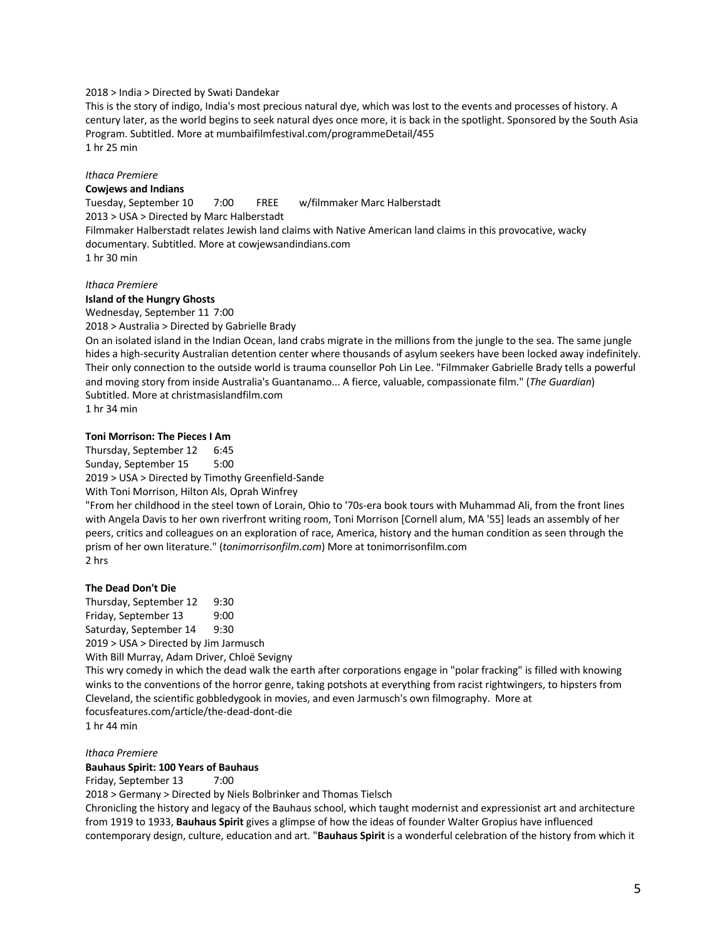#### 2018 > India > Directed by Swati Dandekar

This is the story of indigo, India's most precious natural dye, which was lost to the events and processes of history. A century later, as the world begins to seek natural dyes once more, it is back in the spotlight. Sponsored by the South Asia Program. Subtitled. More at mumbaifilmfestival.com/programmeDetail/455 1 hr 25 min

# *Ithaca Premiere*

#### **Cowjews and Indians**

Tuesday, September 10 7:00 FREE w/filmmaker Marc Halberstadt 2013 > USA > Directed by Marc Halberstadt Filmmaker Halberstadt relates Jewish land claims with Native American land claims in this provocative, wacky documentary. Subtitled. More at cowjewsandindians.com 1 hr 30 min

#### *Ithaca Premiere*

#### **Island of the Hungry Ghosts**

Wednesday, September 11 7:00

2018 > Australia > Directed by Gabrielle Brady

On an isolated island in the Indian Ocean, land crabs migrate in the millions from the jungle to the sea. The same jungle hides a high-security Australian detention center where thousands of asylum seekers have been locked away indefinitely. Their only connection to the outside world is trauma counsellor Poh Lin Lee. "Filmmaker Gabrielle Brady tells a powerful and moving story from inside Australia's Guantanamo... A fierce, valuable, compassionate film." (*The Guardian*) Subtitled. More at christmasislandfilm.com

1 hr 34 min

## **Toni Morrison: The Pieces I Am**

Thursday, September 12 6:45 Sunday, September 15 5:00 2019 > USA > Directed by Timothy Greenfield-Sande

With Toni Morrison, Hilton Als, Oprah Winfrey

"From her childhood in the steel town of Lorain, Ohio to '70s-era book tours with Muhammad Ali, from the front lines with Angela Davis to her own riverfront writing room, Toni Morrison [Cornell alum, MA '55] leads an assembly of her peers, critics and colleagues on an exploration of race, America, history and the human condition as seen through the prism of her own literature." (*tonimorrisonfilm.com*) More at tonimorrisonfilm.com 2 hrs

#### **The Dead Don't Die**

Thursday, September 12 9:30 Friday, September 13 9:00 Saturday, September 14 9:30 2019 > USA > Directed by Jim Jarmusch With Bill Murray, Adam Driver, Chloë Sevigny

This wry comedy in which the dead walk the earth after corporations engage in "polar fracking" is filled with knowing winks to the conventions of the horror genre, taking potshots at everything from racist rightwingers, to hipsters from Cleveland, the scientific gobbledygook in movies, and even Jarmusch's own filmography. More at focusfeatures.com/article/the-dead-dont-die

1 hr 44 min

#### *Ithaca Premiere* **Bauhaus Spirit: 100 Years of Bauhaus**

Friday, September 13 7:00

2018 > Germany > Directed by Niels Bolbrinker and Thomas Tielsch

Chronicling the history and legacy of the Bauhaus school, which taught modernist and expressionist art and architecture from 1919 to 1933, **Bauhaus Spirit** gives a glimpse of how the ideas of founder Walter Gropius have influenced contemporary design, culture, education and art. "**Bauhaus Spirit** is a wonderful celebration of the history from which it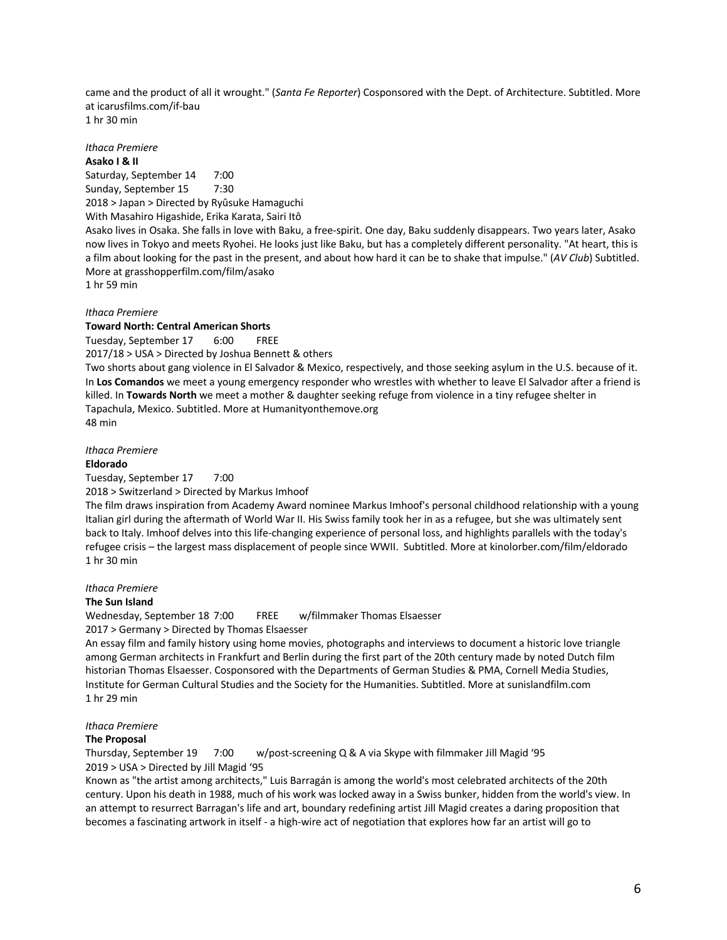came and the product of all it wrought." (*Santa Fe Reporter*) Cosponsored with the Dept. of Architecture. Subtitled. More at icarusfilms.com/if-bau 1 hr 30 min

*Ithaca Premiere*

**Asako I & II**

Saturday, September 14 7:00 Sunday, September 15 7:30 2018 > Japan > Directed by Ryûsuke Hamaguchi With Masahiro Higashide, Erika Karata, Sairi Itô

Asako lives in Osaka. She falls in love with Baku, a free-spirit. One day, Baku suddenly disappears. Two years later, Asako now lives in Tokyo and meets Ryohei. He looks just like Baku, but has a completely different personality. "At heart, this is a film about looking for the past in the present, and about how hard it can be to shake that impulse." (*AV Club*) Subtitled. More at grasshopperfilm.com/film/asako

1 hr 59 min

## *Ithaca Premiere*

#### **Toward North: Central American Shorts**

Tuesday, September 17 6:00 FREE 2017/18 > USA > Directed by Joshua Bennett & others

Two shorts about gang violence in El Salvador & Mexico, respectively, and those seeking asylum in the U.S. because of it. In **Los Comandos** we meet a young emergency responder who wrestles with whether to leave El Salvador after a friend is killed. In **Towards North** we meet a mother & daughter seeking refuge from violence in a tiny refugee shelter in Tapachula, Mexico. Subtitled. More at Humanityonthemove.org 48 min

*Ithaca Premiere*

#### **Eldorado**

Tuesday, September 17 7:00

2018 > Switzerland > Directed by Markus Imhoof

The film draws inspiration from Academy Award nominee Markus Imhoof's personal childhood relationship with a young Italian girl during the aftermath of World War II. His Swiss family took her in as a refugee, but she was ultimately sent back to Italy. Imhoof delves into this life-changing experience of personal loss, and highlights parallels with the today's refugee crisis – the largest mass displacement of people since WWII. Subtitled. More at kinolorber.com/film/eldorado 1 hr 30 min

## *Ithaca Premiere*

## **The Sun Island**

Wednesday, September 18 7:00 FREE w/filmmaker Thomas Elsaesser 2017 > Germany > Directed by Thomas Elsaesser

An essay film and family history using home movies, photographs and interviews to document a historic love triangle among German architects in Frankfurt and Berlin during the first part of the 20th century made by noted Dutch film historian Thomas Elsaesser. Cosponsored with the Departments of German Studies & PMA, Cornell Media Studies, Institute for German Cultural Studies and the Society for the Humanities. Subtitled. More at sunislandfilm.com 1 hr 29 min

# *Ithaca Premiere*

#### **The Proposal**

Thursday, September 19 7:00 w/post-screening Q & A via Skype with filmmaker Jill Magid '95 2019 > USA > Directed by Jill Magid '95

Known as "the artist among architects," Luis Barragán is among the world's most celebrated architects of the 20th century. Upon his death in 1988, much of his work was locked away in a Swiss bunker, hidden from the world's view. In an attempt to resurrect Barragan's life and art, boundary redefining artist Jill Magid creates a daring proposition that becomes a fascinating artwork in itself - a high-wire act of negotiation that explores how far an artist will go to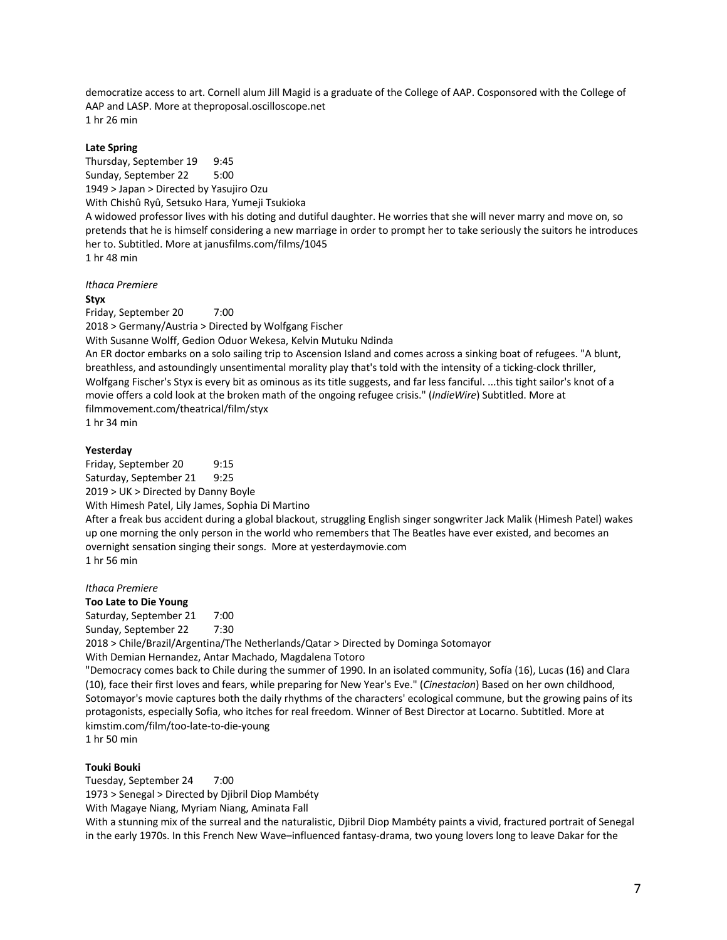democratize access to art. Cornell alum Jill Magid is a graduate of the College of AAP. Cosponsored with the College of AAP and LASP. More at theproposal.oscilloscope.net 1 hr 26 min

## **Late Spring**

Thursday, September 19 9:45 Sunday, September 22 5:00 1949 > Japan > Directed by Yasujiro Ozu With Chishû Ryû, Setsuko Hara, Yumeji Tsukioka A widowed professor lives with his doting and dutiful daughter. He worries that she will never marry and move on, so pretends that he is himself considering a new marriage in order to prompt her to take seriously the suitors he introduces her to. Subtitled. More at janusfilms.com/films/1045 1 hr 48 min

*Ithaca Premiere*

#### **Styx**

Friday, September 20 7:00 2018 > Germany/Austria > Directed by Wolfgang Fischer With Susanne Wolff, Gedion Oduor Wekesa, Kelvin Mutuku Ndinda An ER doctor embarks on a solo sailing trip to Ascension Island and comes across a sinking boat of refugees. "A blunt, breathless, and astoundingly unsentimental morality play that's told with the intensity of a ticking-clock thriller, Wolfgang Fischer's Styx is every bit as ominous as its title suggests, and far less fanciful. ...this tight sailor's knot of a movie offers a cold look at the broken math of the ongoing refugee crisis." (*IndieWire*) Subtitled. More at filmmovement.com/theatrical/film/styx 1 hr 34 min

#### **Yesterday**

Friday, September 20 9:15 Saturday, September 21 9:25 2019 > UK > Directed by Danny Boyle With Himesh Patel, Lily James, Sophia Di Martino

After a freak bus accident during a global blackout, struggling English singer songwriter Jack Malik (Himesh Patel) wakes up one morning the only person in the world who remembers that The Beatles have ever existed, and becomes an overnight sensation singing their songs. More at yesterdaymovie.com 1 hr 56 min

#### *Ithaca Premiere*

**Too Late to Die Young** Saturday, September 21 7:00 Sunday, September 22 7:30 2018 > Chile/Brazil/Argentina/The Netherlands/Qatar > Directed by Dominga Sotomayor With Demian Hernandez, Antar Machado, Magdalena Totoro "Democracy comes back to Chile during the summer of 1990. In an isolated community, Sofía (16), Lucas (16) and Clara (10), face their first loves and fears, while preparing for New Year's Eve." (*Cinestacion*) Based on her own childhood, Sotomayor's movie captures both the daily rhythms of the characters' ecological commune, but the growing pains of its protagonists, especially Sofia, who itches for real freedom. Winner of Best Director at Locarno. Subtitled. More at kimstim.com/film/too-late-to-die-young

1 hr 50 min

# **Touki Bouki**

Tuesday, September 24 7:00 1973 > Senegal > Directed by Djibril Diop Mambéty With Magaye Niang, Myriam Niang, Aminata Fall With a stunning mix of the surreal and the naturalistic, Djibril Diop Mambéty paints a vivid, fractured portrait of Senegal in the early 1970s. In this French New Wave–influenced fantasy-drama, two young lovers long to leave Dakar for the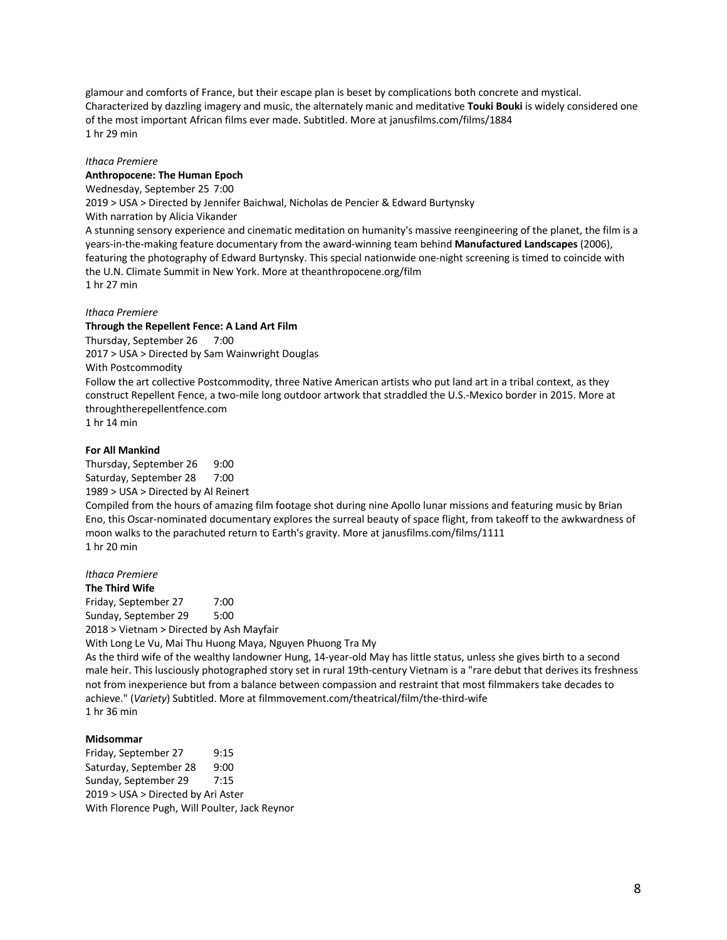glamour and comforts of France, but their escape plan is beset by complications both concrete and mystical. Characterized by dazzling imagery and music, the alternately manic and meditative **Touki Bouki** is widely considered one of the most important African films ever made. Subtitled. More at janusfilms.com/films/1884 1 hr 29 min

#### *Ithaca Premiere*

# **Anthropocene: The Human Epoch**

Wednesday, September 25 7:00

2019 > USA > Directed by Jennifer Baichwal, Nicholas de Pencier & Edward Burtynsky

With narration by Alicia Vikander

A stunning sensory experience and cinematic meditation on humanity's massive reengineering of the planet, the film is a years-in-the-making feature documentary from the award-winning team behind **Manufactured Landscapes** (2006), featuring the photography of Edward Burtynsky. This special nationwide one-night screening is timed to coincide with the U.N. Climate Summit in New York. More at theanthropocene.org/film 1 hr 27 min

#### *Ithaca Premiere*

#### **Through the Repellent Fence: A Land Art Film**

Thursday, September 26 7:00 2017 > USA > Directed by Sam Wainwright Douglas With Postcommodity Follow the art collective Postcommodity, three Native American artists who put land art in a tribal context, as they

construct Repellent Fence, a two-mile long outdoor artwork that straddled the U.S.-Mexico border in 2015. More at throughtherepellentfence.com

1 hr 14 min

## **For All Mankind**

Thursday, September 26 9:00 Saturday, September 28 7:00 1989 > USA > Directed by Al Reinert Compiled from the hours of amazing film footage shot during nine Apollo lunar missions and featuring music by Brian Eno, this Oscar-nominated documentary explores the surreal beauty of space flight, from takeoff to the awkwardness of moon walks to the parachuted return to Earth's gravity. More at janusfilms.com/films/1111 1 hr 20 min

# *Ithaca Premiere*

**The Third Wife** Friday, September 27 7:00 Sunday, September 29 5:00 2018 > Vietnam > Directed by Ash Mayfair

With Long Le Vu, Mai Thu Huong Maya, Nguyen Phuong Tra My

As the third wife of the wealthy landowner Hung, 14-year-old May has little status, unless she gives birth to a second male heir. This lusciously photographed story set in rural 19th-century Vietnam is a "rare debut that derives its freshness not from inexperience but from a balance between compassion and restraint that most filmmakers take decades to achieve." (*Variety*) Subtitled. More at filmmovement.com/theatrical/film/the-third-wife 1 hr 36 min

#### **Midsommar**

Friday, September 27 9:15 Saturday, September 28 9:00 Sunday, September 29 7:15 2019 > USA > Directed by Ari Aster With Florence Pugh, Will Poulter, Jack Reynor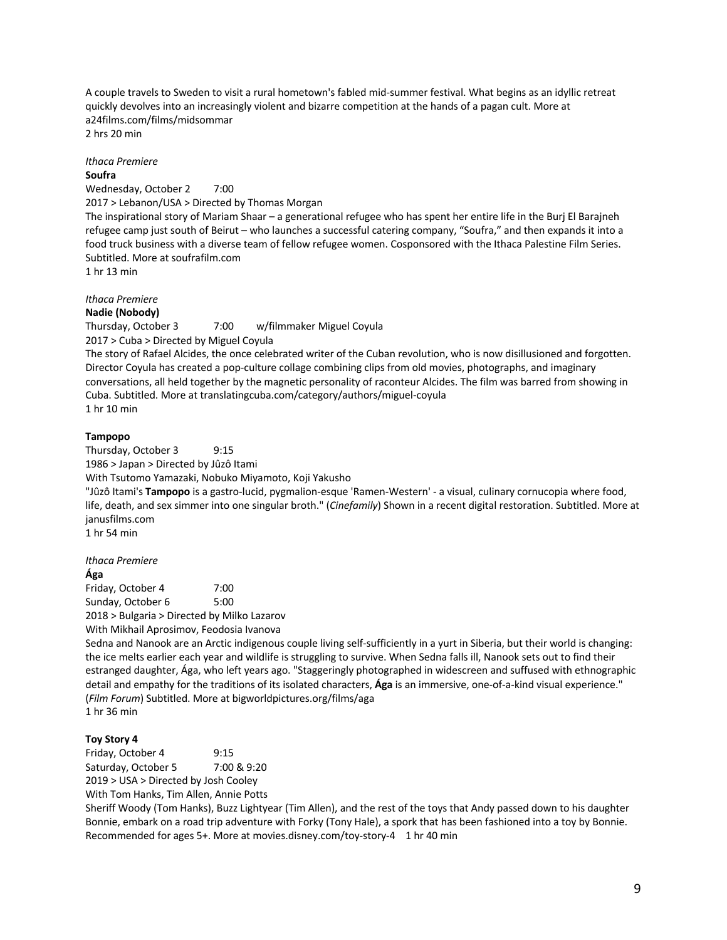A couple travels to Sweden to visit a rural hometown's fabled mid-summer festival. What begins as an idyllic retreat quickly devolves into an increasingly violent and bizarre competition at the hands of a pagan cult. More at a24films.com/films/midsommar

2 hrs 20 min

#### *Ithaca Premiere* **Soufra**

Wednesday, October 2 7:00 2017 > Lebanon/USA > Directed by Thomas Morgan The inspirational story of Mariam Shaar – a generational refugee who has spent her entire life in the Burj El Barajneh refugee camp just south of Beirut – who launches a successful catering company, "Soufra," and then expands it into a food truck business with a diverse team of fellow refugee women. Cosponsored with the Ithaca Palestine Film Series. Subtitled. More at soufrafilm.com 1 hr 13 min

# *Ithaca Premiere*

# **Nadie (Nobody)**

Thursday, October 3 7:00 w/filmmaker Miguel Coyula 2017 > Cuba > Directed by Miguel Coyula The story of Rafael Alcides, the once celebrated writer of the Cuban revolution, who is now disillusioned and forgotten. Director Coyula has created a pop-culture collage combining clips from old movies, photographs, and imaginary

conversations, all held together by the magnetic personality of raconteur Alcides. The film was barred from showing in Cuba. Subtitled. More at translatingcuba.com/category/authors/miguel-coyula 1 hr 10 min

# **Tampopo**

Thursday, October 3 9:15 1986 > Japan > Directed by Jûzô Itami With Tsutomo Yamazaki, Nobuko Miyamoto, Koji Yakusho "Jûzô Itami's **Tampopo** is a gastro-lucid, pygmalion-esque 'Ramen-Western' - a visual, culinary cornucopia where food, life, death, and sex simmer into one singular broth." (*Cinefamily*) Shown in a recent digital restoration. Subtitled. More at janusfilms.com 1 hr 54 min

*Ithaca Premiere*

# **Ága**

Friday, October 4 7:00 Sunday, October 6 5:00 2018 > Bulgaria > Directed by Milko Lazarov

With Mikhail Aprosimov, Feodosia Ivanova

Sedna and Nanook are an Arctic indigenous couple living self-sufficiently in a yurt in Siberia, but their world is changing: the ice melts earlier each year and wildlife is struggling to survive. When Sedna falls ill, Nanook sets out to find their estranged daughter, Ága, who left years ago. "Staggeringly photographed in widescreen and suffused with ethnographic detail and empathy for the traditions of its isolated characters, **Ága** is an immersive, one-of-a-kind visual experience." (*Film Forum*) Subtitled. More at bigworldpictures.org/films/aga

# 1 hr 36 min

# **Toy Story 4**

Friday, October 4 9:15 Saturday, October 5 7:00 & 9:20 2019 > USA > Directed by Josh Cooley With Tom Hanks, Tim Allen, Annie Potts

Sheriff Woody (Tom Hanks), Buzz Lightyear (Tim Allen), and the rest of the toys that Andy passed down to his daughter Bonnie, embark on a road trip adventure with Forky (Tony Hale), a spork that has been fashioned into a toy by Bonnie. Recommended for ages 5+. More at movies.disney.com/toy-story-4 1 hr 40 min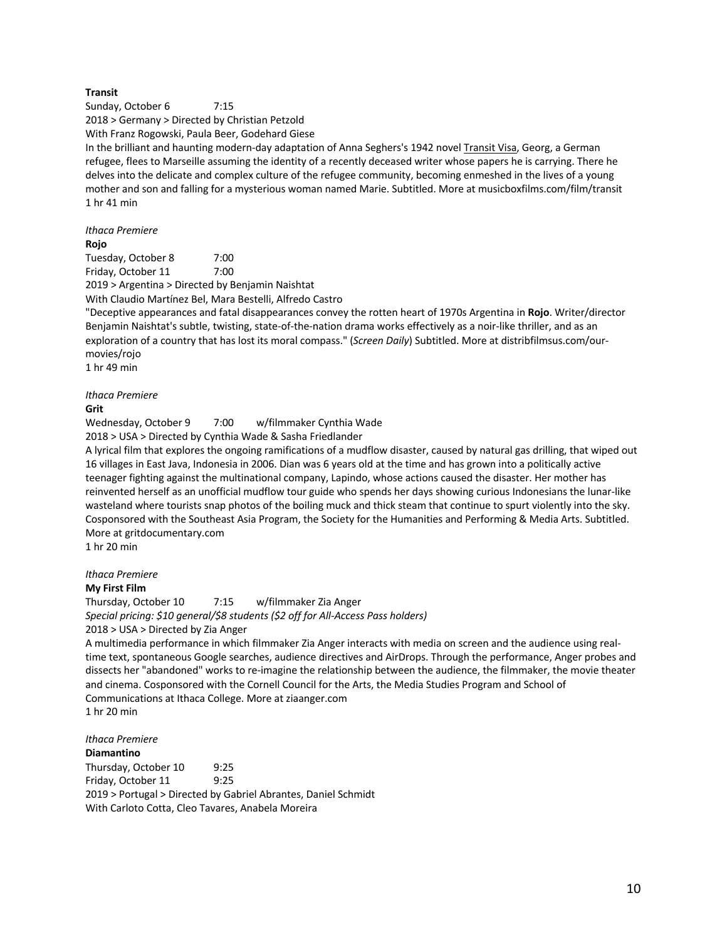# **Transit**

Sunday, October 6 7:15 2018 > Germany > Directed by Christian Petzold With Franz Rogowski, Paula Beer, Godehard Giese In the brilliant and haunting modern-day adaptation of Anna Seghers's 1942 novel Transit Visa, Georg, a German refugee, flees to Marseille assuming the identity of a recently deceased writer whose papers he is carrying. There he delves into the delicate and complex culture of the refugee community, becoming enmeshed in the lives of a young mother and son and falling for a mysterious woman named Marie. Subtitled. More at musicboxfilms.com/film/transit 1 hr 41 min

*Ithaca Premiere* **Rojo**

Tuesday, October 8 7:00 Friday, October 11 7:00 2019 > Argentina > Directed by Benjamin Naishtat

With Claudio Martínez Bel, Mara Bestelli, Alfredo Castro

"Deceptive appearances and fatal disappearances convey the rotten heart of 1970s Argentina in **Rojo**. Writer/director Benjamin Naishtat's subtle, twisting, state-of-the-nation drama works effectively as a noir-like thriller, and as an exploration of a country that has lost its moral compass." (*Screen Daily*) Subtitled. More at distribfilmsus.com/ourmovies/rojo

1 hr 49 min

#### *Ithaca Premiere*

#### **Grit**

Wednesday, October 9 7:00 w/filmmaker Cynthia Wade

2018 > USA > Directed by Cynthia Wade & Sasha Friedlander

A lyrical film that explores the ongoing ramifications of a mudflow disaster, caused by natural gas drilling, that wiped out 16 villages in East Java, Indonesia in 2006. Dian was 6 years old at the time and has grown into a politically active teenager fighting against the multinational company, Lapindo, whose actions caused the disaster. Her mother has reinvented herself as an unofficial mudflow tour guide who spends her days showing curious Indonesians the lunar-like wasteland where tourists snap photos of the boiling muck and thick steam that continue to spurt violently into the sky. Cosponsored with the Southeast Asia Program, the Society for the Humanities and Performing & Media Arts. Subtitled. More at gritdocumentary.com

1 hr 20 min

## *Ithaca Premiere*

#### **My First Film**

Thursday, October 10 7:15 w/filmmaker Zia Anger *Special pricing: \$10 general/\$8 students (\$2 off for All-Access Pass holders)* 2018 > USA > Directed by Zia Anger

A multimedia performance in which filmmaker Zia Anger interacts with media on screen and the audience using realtime text, spontaneous Google searches, audience directives and AirDrops. Through the performance, Anger probes and dissects her "abandoned" works to re-imagine the relationship between the audience, the filmmaker, the movie theater and cinema. Cosponsored with the Cornell Council for the Arts, the Media Studies Program and School of Communications at Ithaca College. More at ziaanger.com 1 hr 20 min

# *Ithaca Premiere* **Diamantino**

Thursday, October 10 9:25 Friday, October 11 9:25 2019 > Portugal > Directed by Gabriel Abrantes, Daniel Schmidt With Carloto Cotta, Cleo Tavares, Anabela Moreira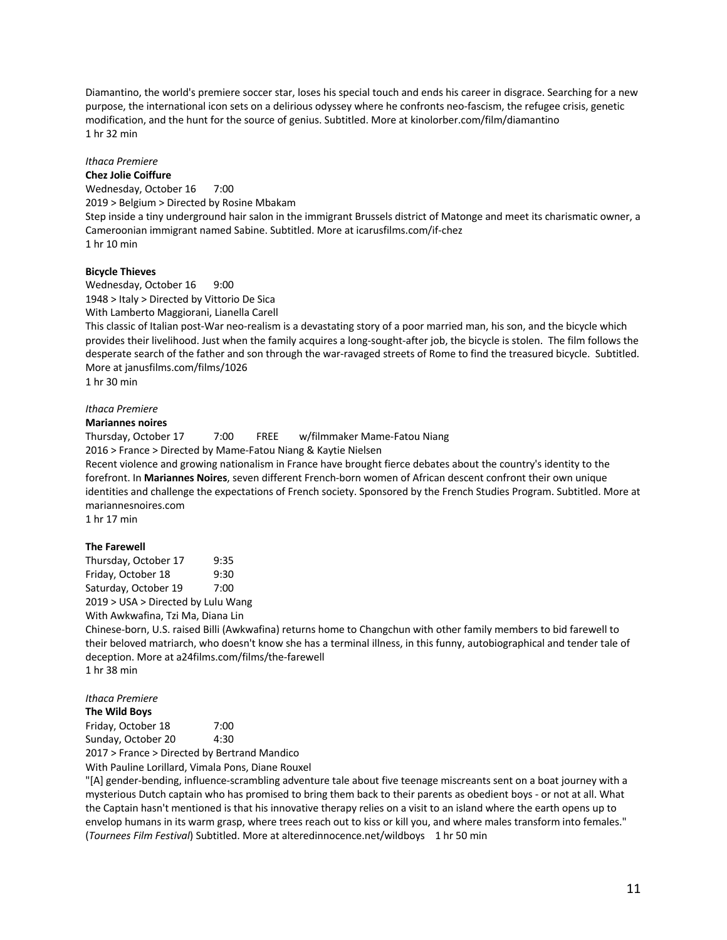Diamantino, the world's premiere soccer star, loses his special touch and ends his career in disgrace. Searching for a new purpose, the international icon sets on a delirious odyssey where he confronts neo-fascism, the refugee crisis, genetic modification, and the hunt for the source of genius. Subtitled. More at kinolorber.com/film/diamantino 1 hr 32 min

# *Ithaca Premiere*

**Chez Jolie Coiffure** Wednesday, October 16 7:00 2019 > Belgium > Directed by Rosine Mbakam Step inside a tiny underground hair salon in the immigrant Brussels district of Matonge and meet its charismatic owner, a Cameroonian immigrant named Sabine. Subtitled. More at icarusfilms.com/if-chez 1 hr 10 min

# **Bicycle Thieves**

Wednesday, October 16 9:00 1948 > Italy > Directed by Vittorio De Sica With Lamberto Maggiorani, Lianella Carell

This classic of Italian post-War neo-realism is a devastating story of a poor married man, his son, and the bicycle which provides their livelihood. Just when the family acquires a long-sought-after job, the bicycle is stolen. The film follows the desperate search of the father and son through the war-ravaged streets of Rome to find the treasured bicycle. Subtitled. More at janusfilms.com/films/1026

1 hr 30 min

# *Ithaca Premiere*

#### **Mariannes noires**

Thursday, October 17 7:00 FREE w/filmmaker Mame-Fatou Niang 2016 > France > Directed by Mame-Fatou Niang & Kaytie Nielsen

Recent violence and growing nationalism in France have brought fierce debates about the country's identity to the forefront. In **Mariannes Noires**, seven different French-born women of African descent confront their own unique identities and challenge the expectations of French society. Sponsored by the French Studies Program. Subtitled. More at mariannesnoires.com

1 hr 17 min

#### **The Farewell**

Thursday, October 17 9:35 Friday, October 18 9:30 Saturday, October 19 7:00 2019 > USA > Directed by Lulu Wang

With Awkwafina, Tzi Ma, Diana Lin

Chinese-born, U.S. raised Billi (Awkwafina) returns home to Changchun with other family members to bid farewell to their beloved matriarch, who doesn't know she has a terminal illness, in this funny, autobiographical and tender tale of deception. More at a24films.com/films/the-farewell 1 hr 38 min

*Ithaca Premiere*

#### **The Wild Boys**

Friday, October 18 7:00 Sunday, October 20 4:30

2017 > France > Directed by Bertrand Mandico

With Pauline Lorillard, Vimala Pons, Diane Rouxel

"[A] gender-bending, influence-scrambling adventure tale about five teenage miscreants sent on a boat journey with a mysterious Dutch captain who has promised to bring them back to their parents as obedient boys - or not at all. What the Captain hasn't mentioned is that his innovative therapy relies on a visit to an island where the earth opens up to envelop humans in its warm grasp, where trees reach out to kiss or kill you, and where males transform into females." (*Tournees Film Festival*) Subtitled. More at alteredinnocence.net/wildboys 1 hr 50 min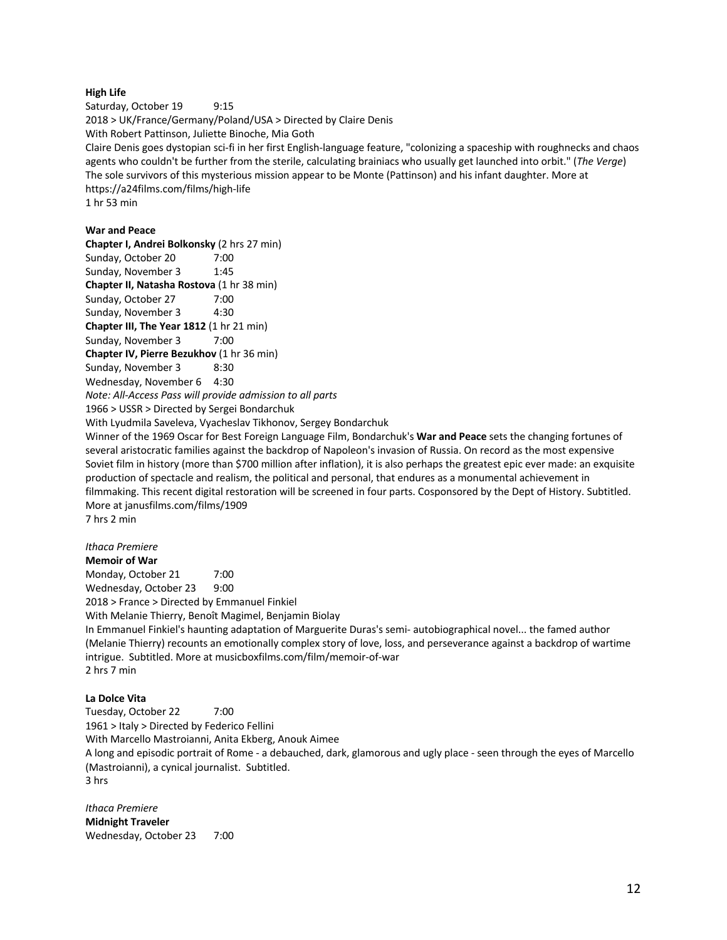## **High Life**

Saturday, October 19 9:15 2018 > UK/France/Germany/Poland/USA > Directed by Claire Denis With Robert Pattinson, Juliette Binoche, Mia Goth Claire Denis goes dystopian sci-fi in her first English-language feature, "colonizing a spaceship with roughnecks and chaos agents who couldn't be further from the sterile, calculating brainiacs who usually get launched into orbit." (*The Verge*) The sole survivors of this mysterious mission appear to be Monte (Pattinson) and his infant daughter. More at https://a24films.com/films/high-life 1 hr 53 min

## **War and Peace**

**Chapter I, Andrei Bolkonsky** (2 hrs 27 min) Sunday, October 20 7:00 Sunday, November 3 1:45 **Chapter II, Natasha Rostova** (1 hr 38 min) Sunday, October 27 7:00 Sunday, November 3 4:30 **Chapter III, The Year 1812** (1 hr 21 min) Sunday, November 3 7:00 **Chapter IV, Pierre Bezukhov** (1 hr 36 min) Sunday, November 3 8:30 Wednesday, November 6 4:30 *Note: All-Access Pass will provide admission to all parts* 1966 > USSR > Directed by Sergei Bondarchuk With Lyudmila Saveleva, Vyacheslav Tikhonov, Sergey Bondarchuk

Winner of the 1969 Oscar for Best Foreign Language Film, Bondarchuk's **War and Peace** sets the changing fortunes of several aristocratic families against the backdrop of Napoleon's invasion of Russia. On record as the most expensive Soviet film in history (more than \$700 million after inflation), it is also perhaps the greatest epic ever made: an exquisite production of spectacle and realism, the political and personal, that endures as a monumental achievement in filmmaking. This recent digital restoration will be screened in four parts. Cosponsored by the Dept of History. Subtitled. More at janusfilms.com/films/1909

7 hrs 2 min

# *Ithaca Premiere*

**Memoir of War** Monday, October 21 7:00 Wednesday, October 23 9:00 2018 > France > Directed by Emmanuel Finkiel With Melanie Thierry, Benoît Magimel, Benjamin Biolay In Emmanuel Finkiel's haunting adaptation of Marguerite Duras's semi- autobiographical novel... the famed author (Melanie Thierry) recounts an emotionally complex story of love, loss, and perseverance against a backdrop of wartime intrigue. Subtitled. More at musicboxfilms.com/film/memoir-of-war 2 hrs 7 min

#### **La Dolce Vita**

Tuesday, October 22 7:00 1961 > Italy > Directed by Federico Fellini With Marcello Mastroianni, Anita Ekberg, Anouk Aimee A long and episodic portrait of Rome - a debauched, dark, glamorous and ugly place - seen through the eyes of Marcello (Mastroianni), a cynical journalist. Subtitled. 3 hrs

*Ithaca Premiere* **Midnight Traveler** Wednesday, October 23 7:00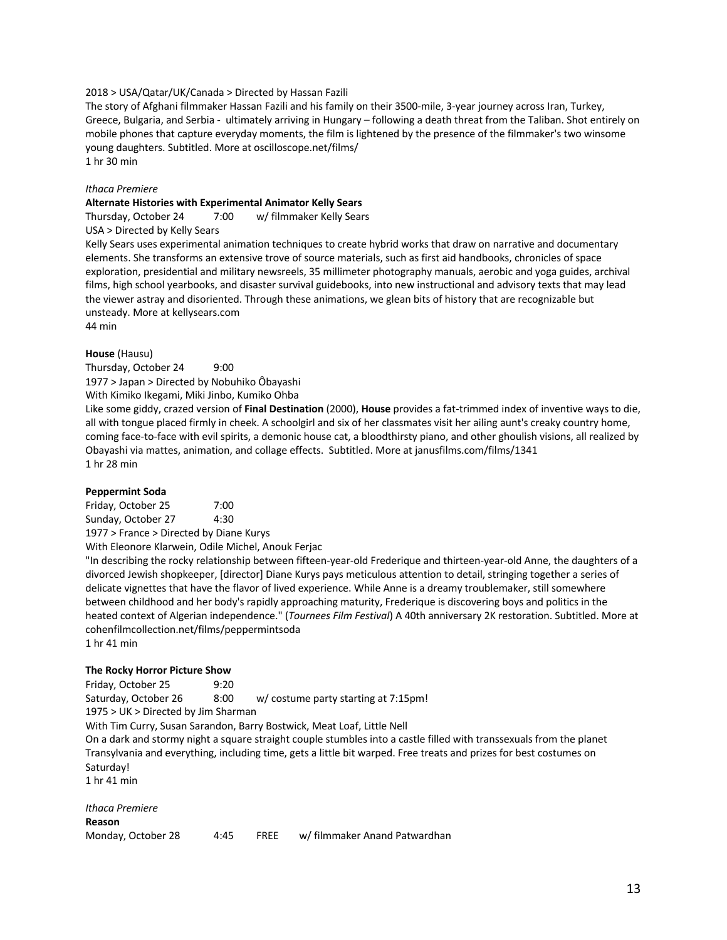#### 2018 > USA/Qatar/UK/Canada > Directed by Hassan Fazili

The story of Afghani filmmaker Hassan Fazili and his family on their 3500-mile, 3-year journey across Iran, Turkey, Greece, Bulgaria, and Serbia - ultimately arriving in Hungary – following a death threat from the Taliban. Shot entirely on mobile phones that capture everyday moments, the film is lightened by the presence of the filmmaker's two winsome young daughters. Subtitled. More at oscilloscope.net/films/ 1 hr 30 min

#### *Ithaca Premiere*

#### **Alternate Histories with Experimental Animator Kelly Sears**

Thursday, October 24 7:00 w/ filmmaker Kelly Sears

USA > Directed by Kelly Sears

Kelly Sears uses experimental animation techniques to create hybrid works that draw on narrative and documentary elements. She transforms an extensive trove of source materials, such as first aid handbooks, chronicles of space exploration, presidential and military newsreels, 35 millimeter photography manuals, aerobic and yoga guides, archival films, high school yearbooks, and disaster survival guidebooks, into new instructional and advisory texts that may lead the viewer astray and disoriented. Through these animations, we glean bits of history that are recognizable but unsteady. More at kellysears.com

44 min

#### **House** (Hausu)

Thursday, October 24 9:00 1977 > Japan > Directed by Nobuhiko Ôbayashi With Kimiko Ikegami, Miki Jinbo, Kumiko Ohba

Like some giddy, crazed version of **Final Destination** (2000), **House** provides a fat-trimmed index of inventive ways to die, all with tongue placed firmly in cheek. A schoolgirl and six of her classmates visit her ailing aunt's creaky country home, coming face-to-face with evil spirits, a demonic house cat, a bloodthirsty piano, and other ghoulish visions, all realized by Obayashi via mattes, animation, and collage effects. Subtitled. More at janusfilms.com/films/1341 1 hr 28 min

#### **Peppermint Soda**

Friday, October 25 7:00 Sunday, October 27 4:30 1977 > France > Directed by Diane Kurys

With Eleonore Klarwein, Odile Michel, Anouk Ferjac

"In describing the rocky relationship between fifteen-year-old Frederique and thirteen-year-old Anne, the daughters of a divorced Jewish shopkeeper, [director] Diane Kurys pays meticulous attention to detail, stringing together a series of delicate vignettes that have the flavor of lived experience. While Anne is a dreamy troublemaker, still somewhere between childhood and her body's rapidly approaching maturity, Frederique is discovering boys and politics in the heated context of Algerian independence." (*Tournees Film Festival*) A 40th anniversary 2K restoration. Subtitled. More at cohenfilmcollection.net/films/peppermintsoda

1 hr 41 min

#### **The Rocky Horror Picture Show**

Friday, October 25 9:20 Saturday, October 26 8:00 w/ costume party starting at 7:15pm! 1975 > UK > Directed by Jim Sharman

With Tim Curry, Susan Sarandon, Barry Bostwick, Meat Loaf, Little Nell

On a dark and stormy night a square straight couple stumbles into a castle filled with transsexuals from the planet Transylvania and everything, including time, gets a little bit warped. Free treats and prizes for best costumes on Saturday!

1 hr 41 min

*Ithaca Premiere* **Reason** Monday, October 28 4:45 FREE w/ filmmaker Anand Patwardhan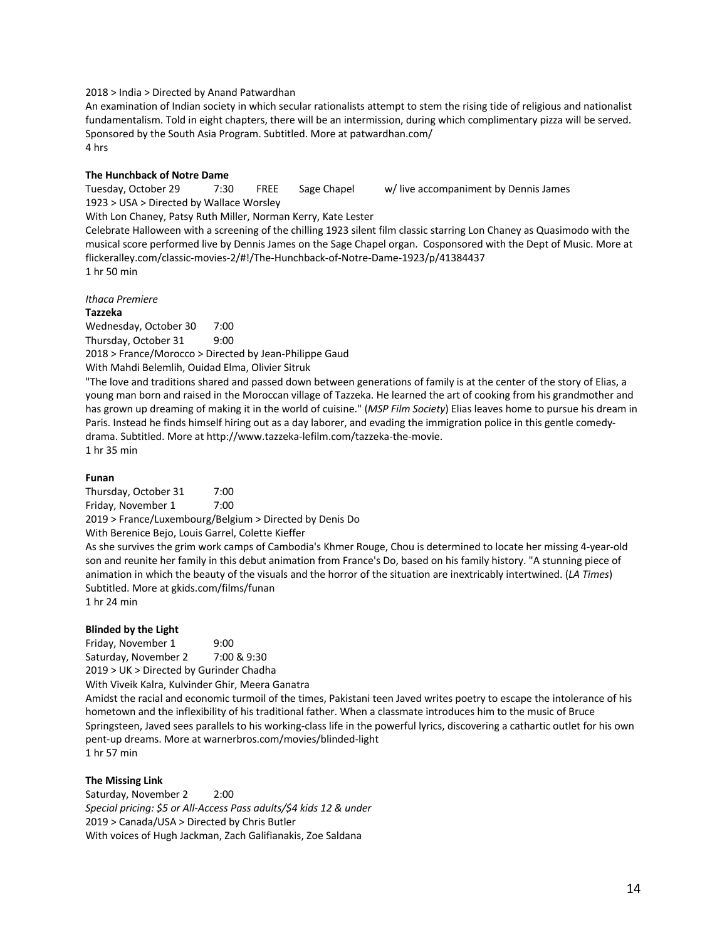#### 2018 > India > Directed by Anand Patwardhan

An examination of Indian society in which secular rationalists attempt to stem the rising tide of religious and nationalist fundamentalism. Told in eight chapters, there will be an intermission, during which complimentary pizza will be served. Sponsored by the South Asia Program. Subtitled. More at patwardhan.com/ 4 hrs

#### **The Hunchback of Notre Dame**

Tuesday, October 29 7:30 FREE Sage Chapel w/ live accompaniment by Dennis James 1923 > USA > Directed by Wallace Worsley

With Lon Chaney, Patsy Ruth Miller, Norman Kerry, Kate Lester

Celebrate Halloween with a screening of the chilling 1923 silent film classic starring Lon Chaney as Quasimodo with the musical score performed live by Dennis James on the Sage Chapel organ. Cosponsored with the Dept of Music. More at flickeralley.com/classic-movies-2/#!/The-Hunchback-of-Notre-Dame-1923/p/41384437 1 hr 50 min

#### *Ithaca Premiere*

#### **Tazzeka**

Wednesday, October 30 7:00 Thursday, October 31 9:00 2018 > France/Morocco > Directed by Jean-Philippe Gaud With Mahdi Belemlih, Ouidad Elma, Olivier Sitruk

"The love and traditions shared and passed down between generations of family is at the center of the story of Elias, a young man born and raised in the Moroccan village of Tazzeka. He learned the art of cooking from his grandmother and has grown up dreaming of making it in the world of cuisine." (*MSP Film Society*) Elias leaves home to pursue his dream in Paris. Instead he finds himself hiring out as a day laborer, and evading the immigration police in this gentle comedydrama. Subtitled. More at http://www.tazzeka-lefilm.com/tazzeka-the-movie. 1 hr 35 min

#### **Funan**

Thursday, October 31 7:00 Friday, November 1 7:00

2019 > France/Luxembourg/Belgium > Directed by Denis Do

With Berenice Bejo, Louis Garrel, Colette Kieffer

As she survives the grim work camps of Cambodia's Khmer Rouge, Chou is determined to locate her missing 4-year-old son and reunite her family in this debut animation from France's Do, based on his family history. "A stunning piece of animation in which the beauty of the visuals and the horror of the situation are inextricably intertwined. (*LA Times*) Subtitled. More at gkids.com/films/funan 1 hr 24 min

**Blinded by the Light** Friday, November 1 9:00 Saturday, November 2 7:00 & 9:30 2019 > UK > Directed by Gurinder Chadha

With Viveik Kalra, Kulvinder Ghir, Meera Ganatra

Amidst the racial and economic turmoil of the times, Pakistani teen Javed writes poetry to escape the intolerance of his hometown and the inflexibility of his traditional father. When a classmate introduces him to the music of Bruce Springsteen, Javed sees parallels to his working-class life in the powerful lyrics, discovering a cathartic outlet for his own pent-up dreams. More at warnerbros.com/movies/blinded-light 1 hr 57 min

#### **The Missing Link**

Saturday, November 2 2:00 *Special pricing: \$5 or All-Access Pass adults/\$4 kids 12 & under* 2019 > Canada/USA > Directed by Chris Butler With voices of Hugh Jackman, Zach Galifianakis, Zoe Saldana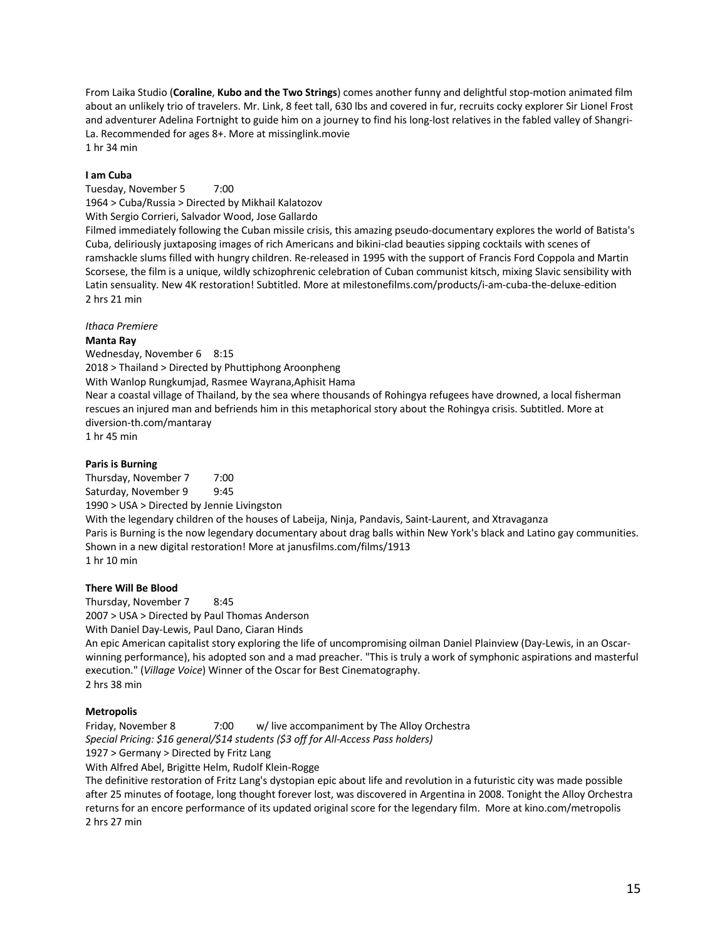From Laika Studio (**Coraline**, **Kubo and the Two Strings**) comes another funny and delightful stop-motion animated film about an unlikely trio of travelers. Mr. Link, 8 feet tall, 630 lbs and covered in fur, recruits cocky explorer Sir Lionel Frost and adventurer Adelina Fortnight to guide him on a journey to find his long-lost relatives in the fabled valley of Shangri-La. Recommended for ages 8+. More at missinglink.movie 1 hr 34 min

## **I am Cuba**

Tuesday, November 5 7:00 1964 > Cuba/Russia > Directed by Mikhail Kalatozov With Sergio Corrieri, Salvador Wood, Jose Gallardo

Filmed immediately following the Cuban missile crisis, this amazing pseudo-documentary explores the world of Batista's Cuba, deliriously juxtaposing images of rich Americans and bikini-clad beauties sipping cocktails with scenes of ramshackle slums filled with hungry children. Re-released in 1995 with the support of Francis Ford Coppola and Martin Scorsese, the film is a unique, wildly schizophrenic celebration of Cuban communist kitsch, mixing Slavic sensibility with Latin sensuality. New 4K restoration! Subtitled. More at milestonefilms.com/products/i-am-cuba-the-deluxe-edition 2 hrs 21 min

*Ithaca Premiere*

#### **Manta Ray**

Wednesday, November 6 8:15 2018 > Thailand > Directed by Phuttiphong Aroonpheng With Wanlop Rungkumjad, Rasmee Wayrana,Aphisit Hama Near a coastal village of Thailand, by the sea where thousands of Rohingya refugees have drowned, a local fisherman rescues an injured man and befriends him in this metaphorical story about the Rohingya crisis. Subtitled. More at diversion-th.com/mantaray 1 hr 45 min

# **Paris is Burning**

Thursday, November 7 7:00 Saturday, November 9 9:45 1990 > USA > Directed by Jennie Livingston With the legendary children of the houses of Labeija, Ninja, Pandavis, Saint-Laurent, and Xtravaganza Paris is Burning is the now legendary documentary about drag balls within New York's black and Latino gay communities. Shown in a new digital restoration! More at janusfilms.com/films/1913 1 hr 10 min

#### **There Will Be Blood**

Thursday, November 7 8:45 2007 > USA > Directed by Paul Thomas Anderson With Daniel Day-Lewis, Paul Dano, Ciaran Hinds

An epic American capitalist story exploring the life of uncompromising oilman Daniel Plainview (Day-Lewis, in an Oscarwinning performance), his adopted son and a mad preacher. "This is truly a work of symphonic aspirations and masterful execution." (*Village Voice*) Winner of the Oscar for Best Cinematography. 2 hrs 38 min

#### **Metropolis**

Friday, November 8 7:00 w/ live accompaniment by The Alloy Orchestra *Special Pricing: \$16 general/\$14 students (\$3 off for All-Access Pass holders)*

1927 > Germany > Directed by Fritz Lang

With Alfred Abel, Brigitte Helm, Rudolf Klein-Rogge

The definitive restoration of Fritz Lang's dystopian epic about life and revolution in a futuristic city was made possible after 25 minutes of footage, long thought forever lost, was discovered in Argentina in 2008. Tonight the Alloy Orchestra returns for an encore performance of its updated original score for the legendary film. More at kino.com/metropolis 2 hrs 27 min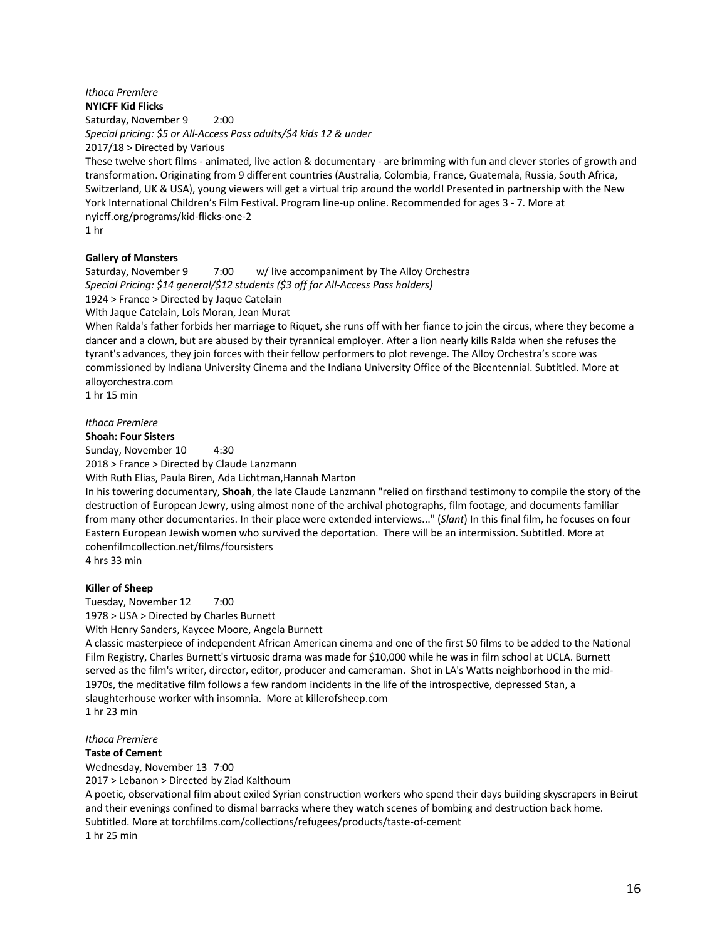#### *Ithaca Premiere* **NYICFF Kid Flicks**

Saturday, November 9 2:00 *Special pricing: \$5 or All-Access Pass adults/\$4 kids 12 & under* 2017/18 > Directed by Various

These twelve short films - animated, live action & documentary - are brimming with fun and clever stories of growth and transformation. Originating from 9 different countries (Australia, Colombia, France, Guatemala, Russia, South Africa, Switzerland, UK & USA), young viewers will get a virtual trip around the world! Presented in partnership with the New York International Children's Film Festival. Program line-up online. Recommended for ages 3 - 7. More at nyicff.org/programs/kid-flicks-one-2

1 hr

# **Gallery of Monsters**

Saturday, November 9 7:00 w/ live accompaniment by The Alloy Orchestra *Special Pricing: \$14 general/\$12 students (\$3 off for All-Access Pass holders)*

1924 > France > Directed by Jaque Catelain

With Jaque Catelain, Lois Moran, Jean Murat

When Ralda's father forbids her marriage to Riquet, she runs off with her fiance to join the circus, where they become a dancer and a clown, but are abused by their tyrannical employer. After a lion nearly kills Ralda when she refuses the tyrant's advances, they join forces with their fellow performers to plot revenge. The Alloy Orchestra's score was commissioned by Indiana University Cinema and the Indiana University Office of the Bicentennial. Subtitled. More at alloyorchestra.com

1 hr 15 min

*Ithaca Premiere*

#### **Shoah: Four Sisters**

Sunday, November 10 4:30

2018 > France > Directed by Claude Lanzmann

With Ruth Elias, Paula Biren, Ada Lichtman,Hannah Marton

In his towering documentary, **Shoah**, the late Claude Lanzmann "relied on firsthand testimony to compile the story of the destruction of European Jewry, using almost none of the archival photographs, film footage, and documents familiar from many other documentaries. In their place were extended interviews..." (*Slant*) In this final film, he focuses on four Eastern European Jewish women who survived the deportation. There will be an intermission. Subtitled. More at cohenfilmcollection.net/films/foursisters 4 hrs 33 min

**Killer of Sheep** Tuesday, November 12 7:00

1978 > USA > Directed by Charles Burnett

With Henry Sanders, Kaycee Moore, Angela Burnett

A classic masterpiece of independent African American cinema and one of the first 50 films to be added to the National Film Registry, Charles Burnett's virtuosic drama was made for \$10,000 while he was in film school at UCLA. Burnett served as the film's writer, director, editor, producer and cameraman. Shot in LA's Watts neighborhood in the mid-1970s, the meditative film follows a few random incidents in the life of the introspective, depressed Stan, a slaughterhouse worker with insomnia. More at killerofsheep.com 1 hr 23 min

*Ithaca Premiere*

# **Taste of Cement**

Wednesday, November 13 7:00

2017 > Lebanon > Directed by Ziad Kalthoum

A poetic, observational film about exiled Syrian construction workers who spend their days building skyscrapers in Beirut and their evenings confined to dismal barracks where they watch scenes of bombing and destruction back home. Subtitled. More at torchfilms.com/collections/refugees/products/taste-of-cement 1 hr 25 min